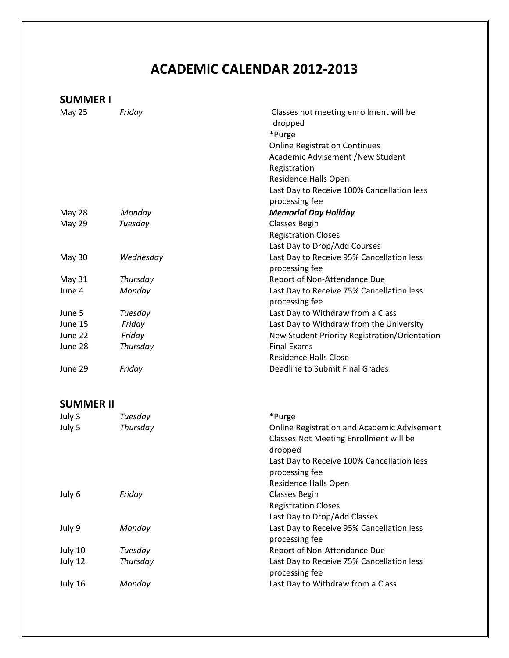## **ACADEMIC CALENDAR 2012-2013**

## **SUMMER I**

| May 25        | Friday    | Classes not meeting enrollment will be<br>dropped |
|---------------|-----------|---------------------------------------------------|
|               |           | *Purge                                            |
|               |           | <b>Online Registration Continues</b>              |
|               |           | Academic Advisement /New Student                  |
|               |           | Registration                                      |
|               |           | Residence Halls Open                              |
|               |           | Last Day to Receive 100% Cancellation less        |
|               |           | processing fee                                    |
| <b>May 28</b> | Monday    | <b>Memorial Day Holiday</b>                       |
| May 29        | Tuesday   | <b>Classes Begin</b>                              |
|               |           | <b>Registration Closes</b>                        |
|               |           | Last Day to Drop/Add Courses                      |
| <b>May 30</b> | Wednesday | Last Day to Receive 95% Cancellation less         |
|               |           | processing fee                                    |
| May 31        | Thursday  | Report of Non-Attendance Due                      |
| June 4        | Monday    | Last Day to Receive 75% Cancellation less         |
|               |           | processing fee                                    |
| June 5        | Tuesday   | Last Day to Withdraw from a Class                 |
| June 15       | Friday    | Last Day to Withdraw from the University          |
| June 22       | Friday    | New Student Priority Registration/Orientation     |
| June 28       | Thursday  | <b>Final Exams</b>                                |
|               |           | Residence Halls Close                             |
| June 29       | Friday    | Deadline to Submit Final Grades                   |
|               |           |                                                   |

## **SUMMER II**

| July 3  | Tuesday  | *Purge                                             |
|---------|----------|----------------------------------------------------|
| July 5  | Thursday | <b>Online Registration and Academic Advisement</b> |
|         |          | Classes Not Meeting Enrollment will be             |
|         |          | dropped                                            |
|         |          | Last Day to Receive 100% Cancellation less         |
|         |          | processing fee                                     |
|         |          | Residence Halls Open                               |
| July 6  | Friday   | <b>Classes Begin</b>                               |
|         |          | <b>Registration Closes</b>                         |
|         |          | Last Day to Drop/Add Classes                       |
| July 9  | Monday   | Last Day to Receive 95% Cancellation less          |
|         |          | processing fee                                     |
| July 10 | Tuesday  | Report of Non-Attendance Due                       |
| July 12 | Thursday | Last Day to Receive 75% Cancellation less          |
|         |          | processing fee                                     |
| July 16 | Monday   | Last Day to Withdraw from a Class                  |
|         |          |                                                    |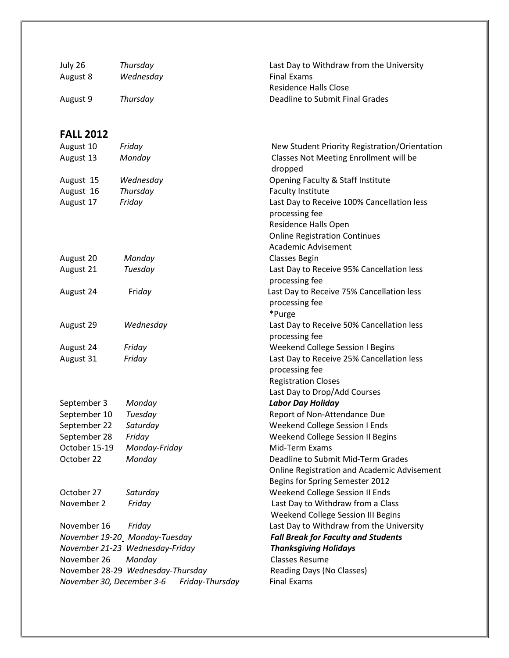| July 26                      | Thursday                          | Last Day to Withdraw from the University                       |
|------------------------------|-----------------------------------|----------------------------------------------------------------|
| August 8                     | Wednesday                         | <b>Final Exams</b>                                             |
|                              |                                   | <b>Residence Halls Close</b>                                   |
| August 9                     | Thursday                          | Deadline to Submit Final Grades                                |
|                              |                                   |                                                                |
| <b>FALL 2012</b>             |                                   |                                                                |
| August 10                    | Friday                            | New Student Priority Registration/Orientation                  |
| August 13                    | Monday                            | Classes Not Meeting Enrollment will be<br>dropped              |
| August 15                    | Wednesday                         | Opening Faculty & Staff Institute                              |
| August 16                    | Thursday                          | <b>Faculty Institute</b>                                       |
| August 17                    | Friday                            | Last Day to Receive 100% Cancellation less                     |
|                              |                                   | processing fee                                                 |
|                              |                                   | <b>Residence Halls Open</b>                                    |
|                              |                                   | <b>Online Registration Continues</b>                           |
|                              |                                   | Academic Advisement                                            |
| August 20<br>August 21       | Monday                            | <b>Classes Begin</b>                                           |
|                              | Tuesday                           | Last Day to Receive 95% Cancellation less<br>processing fee    |
| August 24                    | Friday                            | Last Day to Receive 75% Cancellation less                      |
|                              |                                   | processing fee                                                 |
|                              |                                   | *Purge                                                         |
| August 29                    | Wednesday                         | Last Day to Receive 50% Cancellation less                      |
|                              |                                   | processing fee                                                 |
| August 24                    | Friday                            | <b>Weekend College Session I Begins</b>                        |
| August 31                    | Friday                            | Last Day to Receive 25% Cancellation less                      |
|                              |                                   | processing fee                                                 |
|                              |                                   | <b>Registration Closes</b>                                     |
|                              |                                   | Last Day to Drop/Add Courses                                   |
| September 3                  | Monday                            | <b>Labor Day Holiday</b>                                       |
| September 10<br>September 22 | Tuesday<br>Saturday               | Report of Non-Attendance Due<br>Weekend College Session I Ends |
| September 28                 | Friday                            | Weekend College Session II Begins                              |
| October 15-19                | Monday-Friday                     | Mid-Term Exams                                                 |
| October 22                   | Monday                            | Deadline to Submit Mid-Term Grades                             |
|                              |                                   | <b>Online Registration and Academic Advisement</b>             |
|                              |                                   | Begins for Spring Semester 2012                                |
| October 27                   | Saturday                          | Weekend College Session II Ends                                |
| November 2                   | Friday                            | Last Day to Withdraw from a Class                              |
|                              |                                   | Weekend College Session III Begins                             |
| November 16                  | Friday                            | Last Day to Withdraw from the University                       |
|                              | November 19-20_Monday-Tuesday     | <b>Fall Break for Faculty and Students</b>                     |
|                              | November 21-23 Wednesday-Friday   | <b>Thanksgiving Holidays</b>                                   |
| November 26                  | Monday                            | <b>Classes Resume</b>                                          |
|                              | November 28-29 Wednesday-Thursday | Reading Days (No Classes)                                      |
| November 30, December 3-6    | Friday-Thursday                   | <b>Final Exams</b>                                             |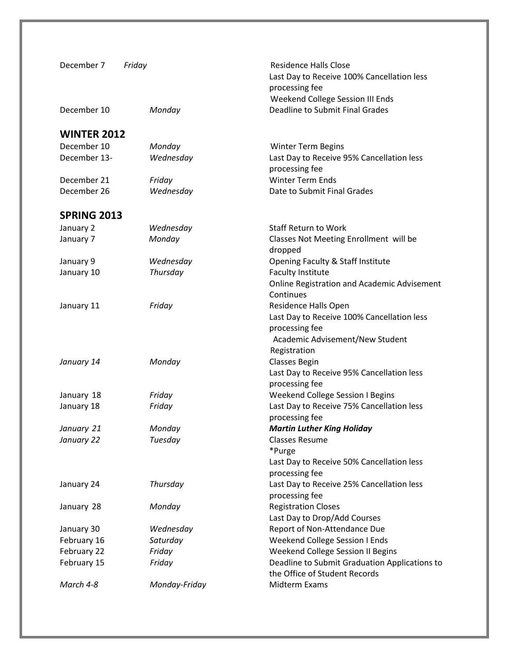| December 7                 | Friday           | <b>Residence Halls Close</b><br>Last Day to Receive 100% Cancellation less<br>processing fee<br>Weekend College Session III Ends |
|----------------------------|------------------|----------------------------------------------------------------------------------------------------------------------------------|
| December 10                | Monday           | <b>Deadline to Submit Final Grades</b>                                                                                           |
| <b>WINTER 2012</b>         |                  |                                                                                                                                  |
| December 10                | Monday           | <b>Winter Term Begins</b>                                                                                                        |
| December 13-               | Wednesday        | Last Day to Receive 95% Cancellation less                                                                                        |
|                            |                  | processing fee                                                                                                                   |
| December 21                | Friday           | <b>Winter Term Ends</b>                                                                                                          |
| December 26                | Wednesday        | Date to Submit Final Grades                                                                                                      |
| <b>SPRING 2013</b>         |                  |                                                                                                                                  |
| January 2                  | Wednesday        | <b>Staff Return to Work</b>                                                                                                      |
| January 7                  | Monday           | Classes Not Meeting Enrollment will be<br>dropped                                                                                |
| January 9                  | Wednesday        | Opening Faculty & Staff Institute                                                                                                |
| January 10                 | Thursday         | <b>Faculty Institute</b>                                                                                                         |
|                            |                  | Online Registration and Academic Advisement<br>Continues                                                                         |
| January 11                 | Friday           | Residence Halls Open                                                                                                             |
|                            |                  | Last Day to Receive 100% Cancellation less                                                                                       |
|                            |                  | processing fee                                                                                                                   |
|                            |                  | Academic Advisement/New Student                                                                                                  |
|                            |                  | Registration                                                                                                                     |
| January 14                 | Monday           | <b>Classes Begin</b>                                                                                                             |
|                            |                  | Last Day to Receive 95% Cancellation less                                                                                        |
|                            |                  | processing fee                                                                                                                   |
| January 18                 | Friday           | <b>Weekend College Session I Begins</b>                                                                                          |
| January 18                 | Friday           | Last Day to Receive 75% Cancellation less                                                                                        |
|                            |                  | processing fee                                                                                                                   |
| January 21                 | Monday           | <b>Martin Luther King Holiday</b>                                                                                                |
| January 22                 | Tuesday          | <b>Classes Resume</b>                                                                                                            |
|                            |                  | *Purge                                                                                                                           |
|                            |                  | Last Day to Receive 50% Cancellation less                                                                                        |
|                            |                  | processing fee                                                                                                                   |
| January 24                 | Thursday         | Last Day to Receive 25% Cancellation less                                                                                        |
|                            |                  | processing fee                                                                                                                   |
| January 28                 | Monday           | <b>Registration Closes</b>                                                                                                       |
|                            |                  | Last Day to Drop/Add Courses                                                                                                     |
| January 30                 | Wednesday        | Report of Non-Attendance Due                                                                                                     |
| February 16                | Saturday         | Weekend College Session I Ends                                                                                                   |
| February 22<br>February 15 | Friday<br>Friday | Weekend College Session II Begins<br>Deadline to Submit Graduation Applications to                                               |
|                            |                  | the Office of Student Records                                                                                                    |
| March 4-8                  | Monday-Friday    | Midterm Exams                                                                                                                    |
|                            |                  |                                                                                                                                  |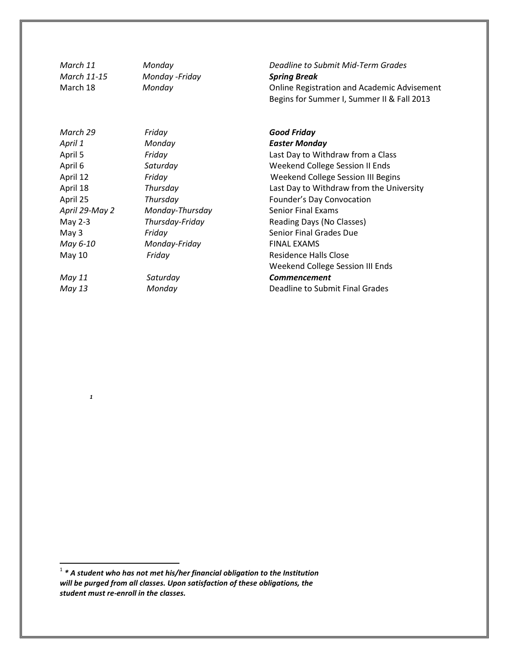| March 11    | Monday          |
|-------------|-----------------|
| March 11-15 | Monday - Friday |
| March 18    | Monday          |

| March 29       | Friday          | <b>Good Friday</b>                       |
|----------------|-----------------|------------------------------------------|
| April 1        | Monday          | <b>Easter Monday</b>                     |
| April 5        | Friday          | Last Day to Withdraw from a Class        |
| April 6        | Saturday        | Weekend College Session II Ends          |
| April 12       | Friday          | Weekend College Session III Begins       |
| April 18       | Thursday        | Last Day to Withdraw from the University |
| April 25       | Thursday        | Founder's Day Convocation                |
| April 29-May 2 | Monday-Thursday | <b>Senior Final Exams</b>                |
| May $2-3$      | Thursday-Friday | Reading Days (No Classes)                |
| May $3$        | Friday          | Senior Final Grades Due                  |
| May 6-10       | Monday-Friday   | <b>FINAL EXAMS</b>                       |
| May 10         | Friday          | Residence Halls Close                    |
|                |                 | Weekend College Session III Ends         |
| May 11         | Saturday        | <b>Commencement</b>                      |
| May 13         | Monday          | Deadline to Submit Final Grades          |

*1*

*March 11 Monday Deadline to Submit Mid-Term Grades March 11-15 Monday -Friday Spring Break* **Online Registration and Academic Advisement** Begins for Summer I, Summer II & Fall 2013

| Good Fridav                              |
|------------------------------------------|
| <b>Easter Monday</b>                     |
| Last Day to Withdraw from a Class        |
| <b>Weekend College Session II Ends</b>   |
| Weekend College Session III Begins       |
| Last Day to Withdraw from the University |
| Founder's Day Convocation                |
| Senior Final Exams                       |
| <b>Reading Days (No Classes)</b>         |
| Senior Final Grades Due                  |
| FINAL EXAMS                              |
| <b>Residence Halls Close</b>             |
| <b>Weekend College Session III Ends</b>  |
| <b>Commencement</b>                      |
| <b>Deadline to Submit Final Grades</b>   |
|                                          |

 1 *\* A student who has not met his/her financial obligation to the Institution will be purged from all classes. Upon satisfaction of these obligations, the student must re-enroll in the classes.*